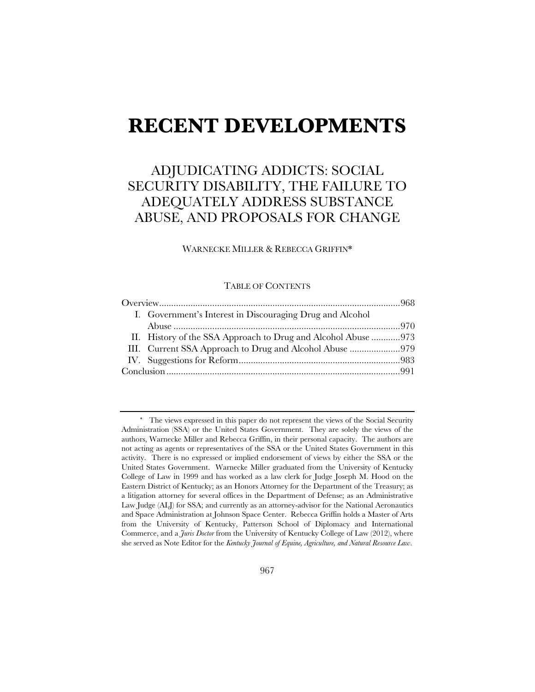# **RECENT DEVELOPMENTS**

# ADJUDICATING ADDICTS: SOCIAL SECURITY DISABILITY, THE FAILURE TO ADEQUATELY ADDRESS SUBSTANCE ABUSE, AND PROPOSALS FOR CHANGE

### WARNECKE MILLER & REBECCA GRIFFIN\*

## TABLE OF CONTENTS

|  | I. Government's Interest in Discouraging Drug and Alcohol     |  |
|--|---------------------------------------------------------------|--|
|  |                                                               |  |
|  | II. History of the SSA Approach to Drug and Alcohol Abuse 973 |  |
|  |                                                               |  |
|  |                                                               |  |
|  |                                                               |  |

<sup>\*</sup> The views expressed in this paper do not represent the views of the Social Security Administration (SSA) or the United States Government. They are solely the views of the authors, Warnecke Miller and Rebecca Griffin, in their personal capacity. The authors are not acting as agents or representatives of the SSA or the United States Government in this activity. There is no expressed or implied endorsement of views by either the SSA or the United States Government. Warnecke Miller graduated from the University of Kentucky College of Law in 1999 and has worked as a law clerk for Judge Joseph M. Hood on the Eastern District of Kentucky; as an Honors Attorney for the Department of the Treasury; as a litigation attorney for several offices in the Department of Defense; as an Administrative Law Judge (ALJ) for SSA; and currently as an attorney-advisor for the National Aeronautics and Space Administration at Johnson Space Center. Rebecca Griffin holds a Master of Arts from the University of Kentucky, Patterson School of Diplomacy and International Commerce, and a *Juris Doctor* from the University of Kentucky College of Law (2012), where she served as Note Editor for the *Kentucky Journal of Equine, Agriculture, and Natural Resource Law*.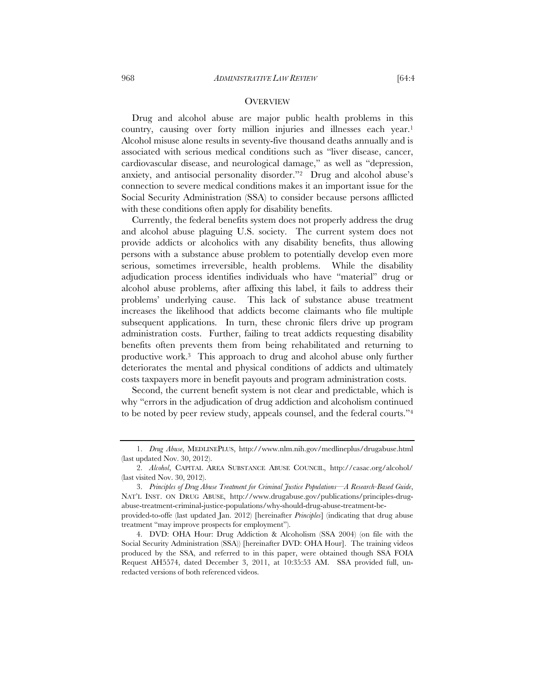### **OVERVIEW**

Drug and alcohol abuse are major public health problems in this country, causing over forty million injuries and illnesses each year.1 Alcohol misuse alone results in seventy-five thousand deaths annually and is associated with serious medical conditions such as "liver disease, cancer, cardiovascular disease, and neurological damage," as well as "depression, anxiety, and antisocial personality disorder."2 Drug and alcohol abuse's connection to severe medical conditions makes it an important issue for the Social Security Administration (SSA) to consider because persons afflicted with these conditions often apply for disability benefits.

Currently, the federal benefits system does not properly address the drug and alcohol abuse plaguing U.S. society. The current system does not provide addicts or alcoholics with any disability benefits, thus allowing persons with a substance abuse problem to potentially develop even more serious, sometimes irreversible, health problems. While the disability adjudication process identifies individuals who have "material" drug or alcohol abuse problems, after affixing this label, it fails to address their problems' underlying cause. This lack of substance abuse treatment increases the likelihood that addicts become claimants who file multiple subsequent applications. In turn, these chronic filers drive up program administration costs. Further, failing to treat addicts requesting disability benefits often prevents them from being rehabilitated and returning to productive work.3 This approach to drug and alcohol abuse only further deteriorates the mental and physical conditions of addicts and ultimately costs taxpayers more in benefit payouts and program administration costs.

Second, the current benefit system is not clear and predictable, which is why "errors in the adjudication of drug addiction and alcoholism continued to be noted by peer review study, appeals counsel, and the federal courts."4

 <sup>1.</sup> *Drug Abuse*, MEDLINEPLUS, http://www.nlm.nih.gov/medlineplus/drugabuse.html (last updated Nov. 30, 2012).

 <sup>2.</sup> *Alcohol*, CAPITAL AREA SUBSTANCE ABUSE COUNCIL, http://casac.org/alcohol/ (last visited Nov. 30, 2012).

 <sup>3.</sup> *Principles of Drug Abuse Treatment for Criminal Justice Populations—A Research-Based Guide*, NAT'L INST. ON DRUG ABUSE, http://www.drugabuse.gov/publications/principles-drugabuse-treatment-criminal-justice-populations/why-should-drug-abuse-treatment-beprovided-to-offe (last updated Jan. 2012) [hereinafter *Principles*] (indicating that drug abuse

treatment "may improve prospects for employment").

 <sup>4.</sup> DVD: OHA Hour: Drug Addiction & Alcoholism (SSA 2004) (on file with the Social Security Administration (SSA)) [hereinafter DVD: OHA Hour]. The training videos produced by the SSA, and referred to in this paper, were obtained though SSA FOIA Request AH5574, dated December 3, 2011, at 10:35:53 AM. SSA provided full, unredacted versions of both referenced videos.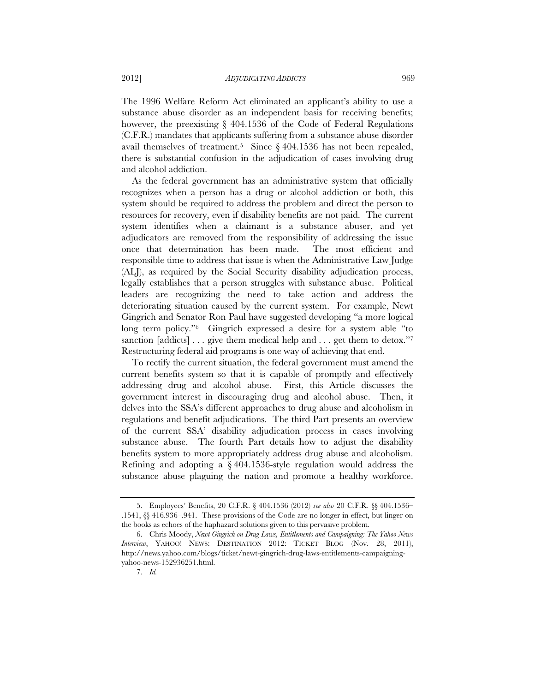The 1996 Welfare Reform Act eliminated an applicant's ability to use a substance abuse disorder as an independent basis for receiving benefits; however, the preexisting § 404.1536 of the Code of Federal Regulations (C.F.R.) mandates that applicants suffering from a substance abuse disorder avail themselves of treatment.<sup>5</sup> Since  $\S$  404.1536 has not been repealed, there is substantial confusion in the adjudication of cases involving drug and alcohol addiction.

As the federal government has an administrative system that officially recognizes when a person has a drug or alcohol addiction or both, this system should be required to address the problem and direct the person to resources for recovery, even if disability benefits are not paid. The current system identifies when a claimant is a substance abuser, and yet adjudicators are removed from the responsibility of addressing the issue once that determination has been made. The most efficient and responsible time to address that issue is when the Administrative Law Judge (ALJ), as required by the Social Security disability adjudication process, legally establishes that a person struggles with substance abuse. Political leaders are recognizing the need to take action and address the deteriorating situation caused by the current system. For example, Newt Gingrich and Senator Ron Paul have suggested developing "a more logical long term policy."6 Gingrich expressed a desire for a system able "to sanction [addicts]  $\dots$  give them medical help and  $\dots$  get them to detox." Restructuring federal aid programs is one way of achieving that end.

To rectify the current situation, the federal government must amend the current benefits system so that it is capable of promptly and effectively addressing drug and alcohol abuse. First, this Article discusses the government interest in discouraging drug and alcohol abuse. Then, it delves into the SSA's different approaches to drug abuse and alcoholism in regulations and benefit adjudications. The third Part presents an overview of the current SSA' disability adjudication process in cases involving substance abuse. The fourth Part details how to adjust the disability benefits system to more appropriately address drug abuse and alcoholism. Refining and adopting a § 404.1536-style regulation would address the substance abuse plaguing the nation and promote a healthy workforce.

 <sup>5.</sup> Employees' Benefits, 20 C.F.R. § 404.1536 (2012) *see also* 20 C.F.R. §§ 404.1536– .1541, §§ 416.936–.941. These provisions of the Code are no longer in effect, but linger on the books as echoes of the haphazard solutions given to this pervasive problem.

 <sup>6.</sup> Chris Moody, *Newt Gingrich on Drug Laws, Entitlements and Campaigning: The Yahoo News Interview*, YAHOO! NEWS: DESTINATION 2012: TICKET BLOG (Nov. 28, 2011), http://news.yahoo.com/blogs/ticket/newt-gingrich-drug-laws-entitlements-campaigningyahoo-news-152936251.html.

 <sup>7.</sup> *Id.*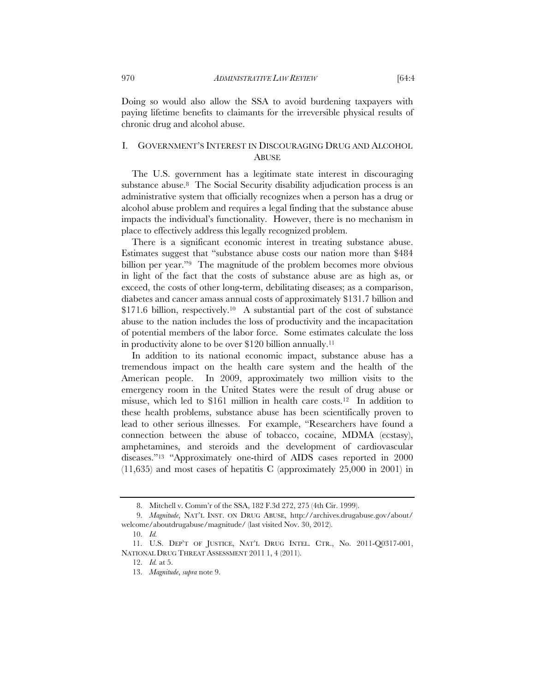Doing so would also allow the SSA to avoid burdening taxpayers with paying lifetime benefits to claimants for the irreversible physical results of chronic drug and alcohol abuse.

# I. GOVERNMENT'S INTEREST IN DISCOURAGING DRUG AND ALCOHOL **ABUSE**

The U.S. government has a legitimate state interest in discouraging substance abuse.8 The Social Security disability adjudication process is an administrative system that officially recognizes when a person has a drug or alcohol abuse problem and requires a legal finding that the substance abuse impacts the individual's functionality. However, there is no mechanism in place to effectively address this legally recognized problem.

There is a significant economic interest in treating substance abuse. Estimates suggest that "substance abuse costs our nation more than \$484 billion per year."<sup>9</sup> The magnitude of the problem becomes more obvious in light of the fact that the costs of substance abuse are as high as, or exceed, the costs of other long-term, debilitating diseases; as a comparison, diabetes and cancer amass annual costs of approximately \$131.7 billion and \$171.6 billion, respectively.<sup>10</sup> A substantial part of the cost of substance abuse to the nation includes the loss of productivity and the incapacitation of potential members of the labor force. Some estimates calculate the loss in productivity alone to be over \$120 billion annually.11

In addition to its national economic impact, substance abuse has a tremendous impact on the health care system and the health of the American people. In 2009, approximately two million visits to the emergency room in the United States were the result of drug abuse or misuse, which led to  $$161$  million in health care costs.<sup>12</sup> In addition to these health problems, substance abuse has been scientifically proven to lead to other serious illnesses. For example, "Researchers have found a connection between the abuse of tobacco, cocaine, MDMA (ecstasy), amphetamines, and steroids and the development of cardiovascular diseases."13 "Approximately one-third of AIDS cases reported in 2000 (11,635) and most cases of hepatitis C (approximately 25,000 in 2001) in

 <sup>8.</sup> Mitchell v. Comm'r of the SSA, 182 F.3d 272, 275 (4th Cir. 1999).

 <sup>9.</sup> *Magnitude*, NAT'L INST. ON DRUG ABUSE, http://archives.drugabuse.gov/about/ welcome/aboutdrugabuse/magnitude/ (last visited Nov. 30, 2012).

 <sup>10.</sup> *Id.* 

 <sup>11.</sup> U.S. DEP'T OF JUSTICE, NAT'L DRUG INTEL. CTR., No. 2011-Q0317-001, NATIONAL DRUG THREAT ASSESSMENT 2011 1, 4 (2011).

 <sup>12.</sup> *Id.* at 5.

 <sup>13.</sup> *Magnitude*, *supra* note 9.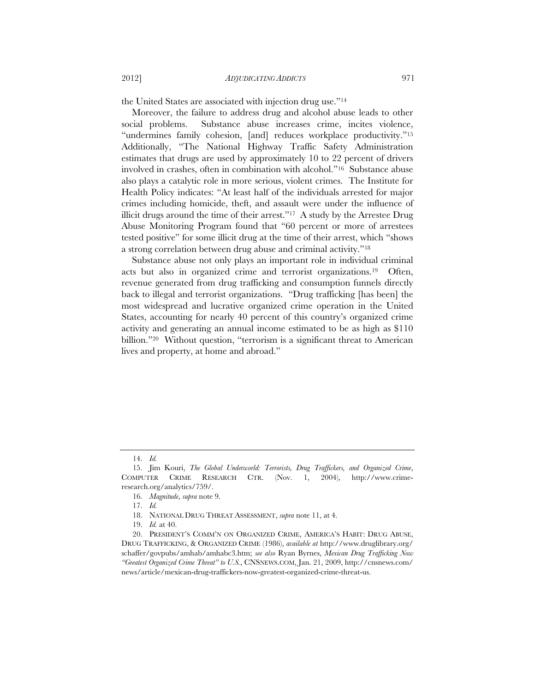the United States are associated with injection drug use."14

Moreover, the failure to address drug and alcohol abuse leads to other social problems. Substance abuse increases crime, incites violence, "undermines family cohesion, [and] reduces workplace productivity."<sup>15</sup> Additionally, "The National Highway Traffic Safety Administration estimates that drugs are used by approximately 10 to 22 percent of drivers involved in crashes, often in combination with alcohol."16 Substance abuse also plays a catalytic role in more serious, violent crimes. The Institute for Health Policy indicates: "At least half of the individuals arrested for major crimes including homicide, theft, and assault were under the influence of illicit drugs around the time of their arrest."17 A study by the Arrestee Drug Abuse Monitoring Program found that "60 percent or more of arrestees tested positive" for some illicit drug at the time of their arrest, which "shows a strong correlation between drug abuse and criminal activity."18

Substance abuse not only plays an important role in individual criminal acts but also in organized crime and terrorist organizations.19 Often, revenue generated from drug trafficking and consumption funnels directly back to illegal and terrorist organizations. "Drug trafficking [has been] the most widespread and lucrative organized crime operation in the United States, accounting for nearly 40 percent of this country's organized crime activity and generating an annual income estimated to be as high as \$110 billion."<sup>20</sup> Without question, "terrorism is a significant threat to American lives and property, at home and abroad."

 <sup>14.</sup> *Id.* 

 <sup>15.</sup> Jim Kouri, *The Global Underworld: Terrorists, Drug Traffickers, and Organized Crime*, COMPUTER CRIME RESEARCH CTR. (Nov. 1, 2004), http://www.crimeresearch.org/analytics/759/.

 <sup>16.</sup> *Magnitude*, *supra* note 9.

 <sup>17.</sup> *Id.*

 <sup>18.</sup> NATIONAL DRUG THREAT ASSESSMENT, *supra* note 11, at 4.

 <sup>19.</sup> *Id.* at 40.

 <sup>20.</sup> PRESIDENT'S COMM'N ON ORGANIZED CRIME, AMERICA'S HABIT: DRUG ABUSE, DRUG TRAFFICKING, & ORGANIZED CRIME (1986), *available at* http://www.druglibrary.org/ schaffer/govpubs/amhab/amhabc3.htm; *see also* Ryan Byrnes, *Mexican Drug Trafficking Now "Greatest Organized Crime Threat" to U.S.*, CNSNEWS.COM, Jan. 21, 2009, http://cnsnews.com/ news/article/mexican-drug-traffickers-now-greatest-organized-crime-threat-us.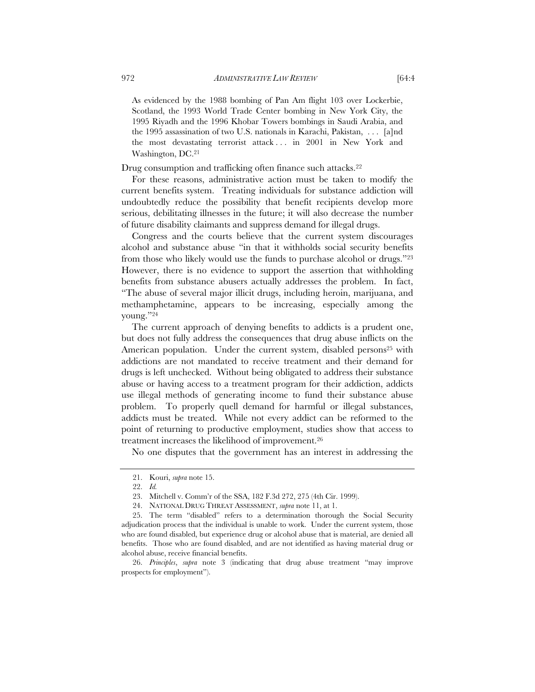As evidenced by the 1988 bombing of Pan Am flight 103 over Lockerbie, Scotland, the 1993 World Trade Center bombing in New York City, the 1995 Riyadh and the 1996 Khobar Towers bombings in Saudi Arabia, and the 1995 assassination of two U.S. nationals in Karachi, Pakistan, . . . [a]nd the most devastating terrorist attack . . . in 2001 in New York and Washington, DC.21

Drug consumption and trafficking often finance such attacks.<sup>22</sup>

For these reasons, administrative action must be taken to modify the current benefits system. Treating individuals for substance addiction will undoubtedly reduce the possibility that benefit recipients develop more serious, debilitating illnesses in the future; it will also decrease the number of future disability claimants and suppress demand for illegal drugs.

Congress and the courts believe that the current system discourages alcohol and substance abuse "in that it withholds social security benefits from those who likely would use the funds to purchase alcohol or drugs."23 However, there is no evidence to support the assertion that withholding benefits from substance abusers actually addresses the problem. In fact, "The abuse of several major illicit drugs, including heroin, marijuana, and methamphetamine, appears to be increasing, especially among the young."24

The current approach of denying benefits to addicts is a prudent one, but does not fully address the consequences that drug abuse inflicts on the American population. Under the current system, disabled persons<sup>25</sup> with addictions are not mandated to receive treatment and their demand for drugs is left unchecked. Without being obligated to address their substance abuse or having access to a treatment program for their addiction, addicts use illegal methods of generating income to fund their substance abuse problem. To properly quell demand for harmful or illegal substances, addicts must be treated. While not every addict can be reformed to the point of returning to productive employment, studies show that access to treatment increases the likelihood of improvement.26

No one disputes that the government has an interest in addressing the

 26. *Principles*, *supra* note 3 (indicating that drug abuse treatment "may improve prospects for employment").

 <sup>21.</sup> Kouri, *supra* note 15.

 <sup>22.</sup> *Id.*

 <sup>23.</sup> Mitchell v. Comm'r of the SSA, 182 F.3d 272, 275 (4th Cir. 1999).

 <sup>24.</sup> NATIONAL DRUG THREAT ASSESSMENT, *supra* note 11, at 1.

 <sup>25.</sup> The term "disabled" refers to a determination thorough the Social Security adjudication process that the individual is unable to work. Under the current system, those who are found disabled, but experience drug or alcohol abuse that is material, are denied all benefits. Those who are found disabled, and are not identified as having material drug or alcohol abuse, receive financial benefits.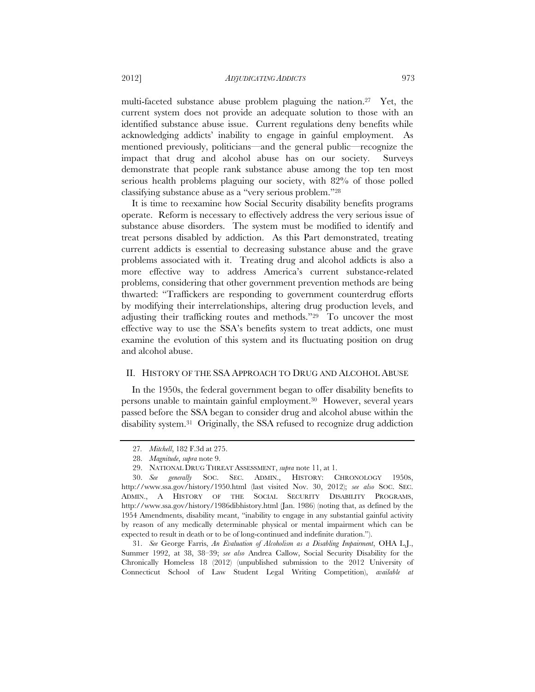multi-faceted substance abuse problem plaguing the nation.27 Yet, the current system does not provide an adequate solution to those with an identified substance abuse issue. Current regulations deny benefits while acknowledging addicts' inability to engage in gainful employment. As mentioned previously, politicians—and the general public—recognize the impact that drug and alcohol abuse has on our society. Surveys demonstrate that people rank substance abuse among the top ten most serious health problems plaguing our society, with 82% of those polled classifying substance abuse as a "very serious problem."28

It is time to reexamine how Social Security disability benefits programs operate. Reform is necessary to effectively address the very serious issue of substance abuse disorders. The system must be modified to identify and treat persons disabled by addiction. As this Part demonstrated, treating current addicts is essential to decreasing substance abuse and the grave problems associated with it. Treating drug and alcohol addicts is also a more effective way to address America's current substance-related problems, considering that other government prevention methods are being thwarted: "Traffickers are responding to government counterdrug efforts by modifying their interrelationships, altering drug production levels, and adjusting their trafficking routes and methods."29 To uncover the most effective way to use the SSA's benefits system to treat addicts, one must examine the evolution of this system and its fluctuating position on drug and alcohol abuse.

### II. HISTORY OF THE SSA APPROACH TO DRUG AND ALCOHOL ABUSE

In the 1950s, the federal government began to offer disability benefits to persons unable to maintain gainful employment.30 However, several years passed before the SSA began to consider drug and alcohol abuse within the disability system.31 Originally, the SSA refused to recognize drug addiction

 31. *See* George Farris, *An Evaluation of Alcoholism as a Disabling Impairment*, OHA L.J., Summer 1992, at 38, 38–39; *see also* Andrea Callow, Social Security Disability for the Chronically Homeless 18 (2012) (unpublished submission to the 2012 University of Connecticut School of Law Student Legal Writing Competition), *available at*

<sup>27</sup>*. Mitchell*, 182 F.3d at 275.

 <sup>28.</sup> *Magnitude*, *supra* note 9.

 <sup>29.</sup> NATIONAL DRUG THREAT ASSESSMENT, *supra* note 11, at 1.

 <sup>30.</sup> *See generally* SOC. SEC. ADMIN., HISTORY: CHRONOLOGY 1950S, http://www.ssa.gov/history/1950.html (last visited Nov. 30, 2012); *see also* SOC. SEC. ADMIN., A HISTORY OF THE SOCIAL SECURITY DISABILITY PROGRAMS, http://www.ssa.gov/history/1986dibhistory.html (Jan. 1986) (noting that, as defined by the 1954 Amendments, disability meant, "inability to engage in any substantial gainful activity by reason of any medically determinable physical or mental impairment which can be expected to result in death or to be of long-continued and indefinite duration.").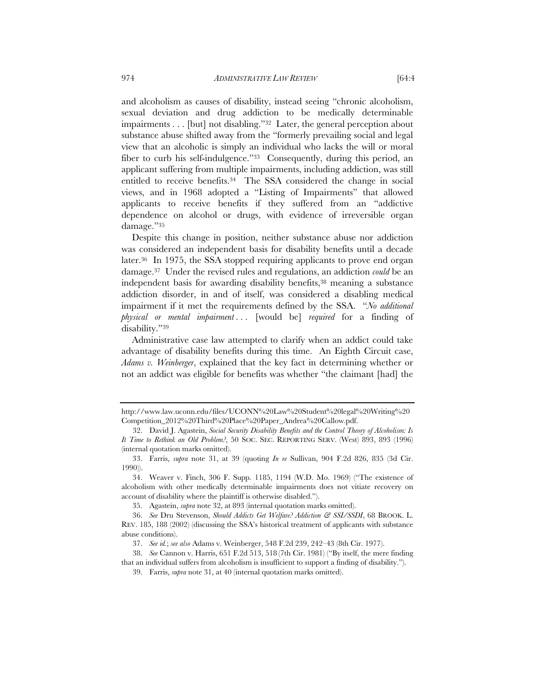and alcoholism as causes of disability, instead seeing "chronic alcoholism, sexual deviation and drug addiction to be medically determinable impairments . . . [but] not disabling."32 Later, the general perception about substance abuse shifted away from the "formerly prevailing social and legal view that an alcoholic is simply an individual who lacks the will or moral fiber to curb his self-indulgence."33 Consequently, during this period, an applicant suffering from multiple impairments, including addiction, was still entitled to receive benefits.34 The SSA considered the change in social views, and in 1968 adopted a "Listing of Impairments" that allowed applicants to receive benefits if they suffered from an "addictive dependence on alcohol or drugs, with evidence of irreversible organ damage."35

Despite this change in position, neither substance abuse nor addiction was considered an independent basis for disability benefits until a decade later.36 In 1975, the SSA stopped requiring applicants to prove end organ damage.37 Under the revised rules and regulations, an addiction *could* be an independent basis for awarding disability benefits,<sup>38</sup> meaning a substance addiction disorder, in and of itself, was considered a disabling medical impairment if it met the requirements defined by the SSA. "*No additional physical or mental impairment . . .* [would be] *required* for a finding of disability."39

Administrative case law attempted to clarify when an addict could take advantage of disability benefits during this time. An Eighth Circuit case, *Adams v. Weinberger*, explained that the key fact in determining whether or not an addict was eligible for benefits was whether "the claimant [had] the

35. Agastein, *supra* note 32, at 893 (internal quotation marks omitted).

http://www.law.uconn.edu/files/UCONN%20Law%20Student%20legal%20Writing%20 Competition\_2012%20Third%20Place%20Paper\_Andrea%20Callow.pdf.

 <sup>32.</sup> David J. Agastein, *Social Security Disability Benefits and the Control Theory of Alcoholism: Is It Time to Rethink an Old Problem?*, 50 SOC. SEC. REPORTING SERV. (West) 893, 893 (1996) (internal quotation marks omitted).

 <sup>33.</sup> Farris, *supra* note 31, at 39 (quoting *In re* Sullivan, 904 F.2d 826, 835 (3d Cir. 1990)).

 <sup>34.</sup> Weaver v. Finch, 306 F. Supp. 1185, 1194 (W.D. Mo. 1969) ("The existence of alcoholism with other medically determinable impairments does not vitiate recovery on account of disability where the plaintiff is otherwise disabled.").

 <sup>36.</sup> *See* Dru Stevenson, *Should Addicts Get Welfare? Addiction & SSI/SSDI*, 68 BROOK. L. REV. 185, 188 (2002) (discussing the SSA's historical treatment of applicants with substance abuse conditions).

 <sup>37.</sup> *See id.*; *see also* Adams v. Weinberger, 548 F.2d 239, 242–43 (8th Cir. 1977).

 <sup>38.</sup> *See* Cannon v. Harris, 651 F.2d 513, 518 (7th Cir. 1981) ("By itself, the mere finding that an individual suffers from alcoholism is insufficient to support a finding of disability.").

 <sup>39.</sup> Farris, *supra* note 31, at 40 (internal quotation marks omitted).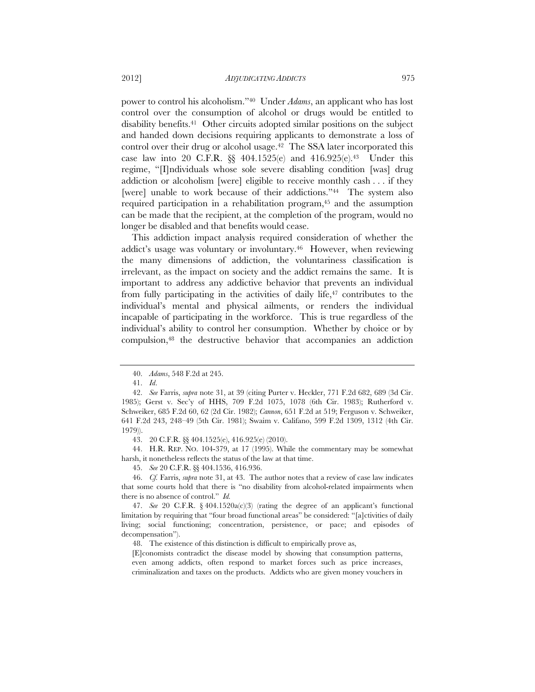power to control his alcoholism."40 Under *Adams*, an applicant who has lost control over the consumption of alcohol or drugs would be entitled to disability benefits.41 Other circuits adopted similar positions on the subject and handed down decisions requiring applicants to demonstrate a loss of control over their drug or alcohol usage.<sup>42</sup> The SSA later incorporated this case law into 20 C.F.R. §§ 404.1525(e) and 416.925(e).43 Under this regime, "[I]ndividuals whose sole severe disabling condition [was] drug addiction or alcoholism [were] eligible to receive monthly cash . . . if they [were] unable to work because of their addictions."<sup>44</sup> The system also required participation in a rehabilitation program,45 and the assumption can be made that the recipient, at the completion of the program, would no longer be disabled and that benefits would cease.

This addiction impact analysis required consideration of whether the addict's usage was voluntary or involuntary.46 However, when reviewing the many dimensions of addiction, the voluntariness classification is irrelevant, as the impact on society and the addict remains the same. It is important to address any addictive behavior that prevents an individual from fully participating in the activities of daily life,47 contributes to the individual's mental and physical ailments, or renders the individual incapable of participating in the workforce. This is true regardless of the individual's ability to control her consumption. Whether by choice or by compulsion,48 the destructive behavior that accompanies an addiction

43. 20 C.F.R. §§ 404.1525(e), 416.925(e) (2010).

 44. H.R. REP. NO. 104-379, at 17 (1995). While the commentary may be somewhat harsh, it nonetheless reflects the status of the law at that time.

45. *See* 20 C.F.R. §§ 404.1536, 416.936.

 46. *Cf.* Farris, *supra* note 31, at 43. The author notes that a review of case law indicates that some courts hold that there is "no disability from alcohol-related impairments when there is no absence of control." *Id.*

[E]conomists contradict the disease model by showing that consumption patterns, even among addicts, often respond to market forces such as price increases, criminalization and taxes on the products. Addicts who are given money vouchers in

 <sup>40.</sup> *Adams*, 548 F.2d at 245.

 <sup>41.</sup> *Id*.

 <sup>42.</sup> *See* Farris, *supra* note 31, at 39 (citing Purter v. Heckler, 771 F.2d 682, 689 (3d Cir. 1985); Gerst v. Sec'y of HHS, 709 F.2d 1075, 1078 (6th Cir. 1983); Rutherford v. Schweiker, 685 F.2d 60, 62 (2d Cir. 1982); *Cannon*, 651 F.2d at 519; Ferguson v. Schweiker, 641 F.2d 243, 248–49 (5th Cir. 1981); Swaim v. Califano, 599 F.2d 1309, 1312 (4th Cir. 1979)).

 <sup>47.</sup> *See* 20 C.F.R. § 404.1520a(c)(3) (rating the degree of an applicant's functional limitation by requiring that "four broad functional areas" be considered: "[a]ctivities of daily living; social functioning; concentration, persistence, or pace; and episodes of decompensation").

 <sup>48.</sup> The existence of this distinction is difficult to empirically prove as,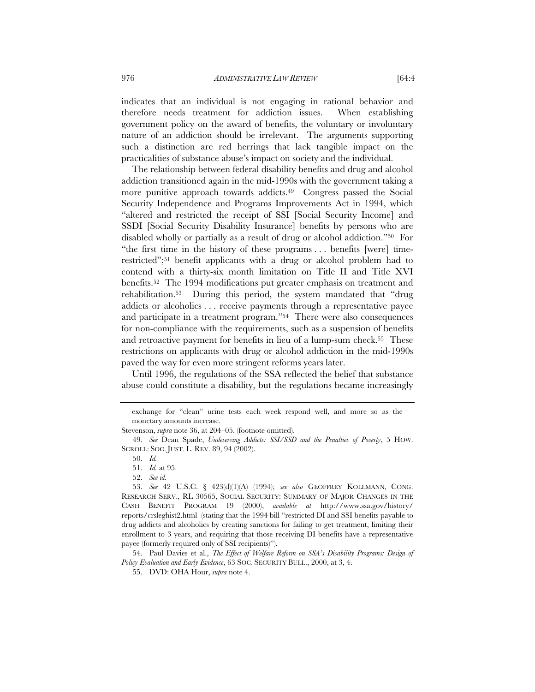indicates that an individual is not engaging in rational behavior and therefore needs treatment for addiction issues. When establishing government policy on the award of benefits, the voluntary or involuntary nature of an addiction should be irrelevant. The arguments supporting such a distinction are red herrings that lack tangible impact on the practicalities of substance abuse's impact on society and the individual.

The relationship between federal disability benefits and drug and alcohol addiction transitioned again in the mid-1990s with the government taking a more punitive approach towards addicts.<sup>49</sup> Congress passed the Social Security Independence and Programs Improvements Act in 1994, which "altered and restricted the receipt of SSI [Social Security Income] and SSDI [Social Security Disability Insurance] benefits by persons who are disabled wholly or partially as a result of drug or alcohol addiction."50 For "the first time in the history of these programs . . . benefits [were] timerestricted";51 benefit applicants with a drug or alcohol problem had to contend with a thirty-six month limitation on Title II and Title XVI benefits.52 The 1994 modifications put greater emphasis on treatment and rehabilitation.53 During this period, the system mandated that "drug addicts or alcoholics . . . receive payments through a representative payee and participate in a treatment program."54 There were also consequences for non-compliance with the requirements, such as a suspension of benefits and retroactive payment for benefits in lieu of a lump-sum check.55 These restrictions on applicants with drug or alcohol addiction in the mid-1990s paved the way for even more stringent reforms years later.

Until 1996, the regulations of the SSA reflected the belief that substance abuse could constitute a disability, but the regulations became increasingly

 54. Paul Davies et al., *The Effect of Welfare Reform on SSA's Disability Programs: Design of Policy Evaluation and Early Evidence*, 63 SOC. SECURITY BULL., 2000, at 3, 4.

55. DVD: OHA Hour, *supra* note 4.

exchange for "clean" urine tests each week respond well, and more so as the monetary amounts increase.

Stevenson, *supra* note 36, at 204–05. (footnote omitted).

 <sup>49.</sup> *See* Dean Spade, *Undeserving Addicts: SSI/SSD and the Penalties of Poverty*, 5 HOW. SCROLL: SOC. JUST. L. REV. 89, 94 (2002).

 <sup>50.</sup> *Id.*

 <sup>51.</sup> *Id.* at 95.

 <sup>52.</sup> *See id.*

 <sup>53.</sup> *See* 42 U.S.C. § 423(d)(1)(A) (1994); *see also* GEOFFREY KOLLMANN, CONG. RESEARCH SERV., RL 30565, SOCIAL SECURITY: SUMMARY OF MAJOR CHANGES IN THE CASH BENEFIT PROGRAM 19 (2000), *available at* http://www.ssa.gov/history/ reports/crsleghist2.html (stating that the 1994 bill "restricted DI and SSI benefits payable to drug addicts and alcoholics by creating sanctions for failing to get treatment, limiting their enrollment to 3 years, and requiring that those receiving DI benefits have a representative payee (formerly required only of SSI recipients)").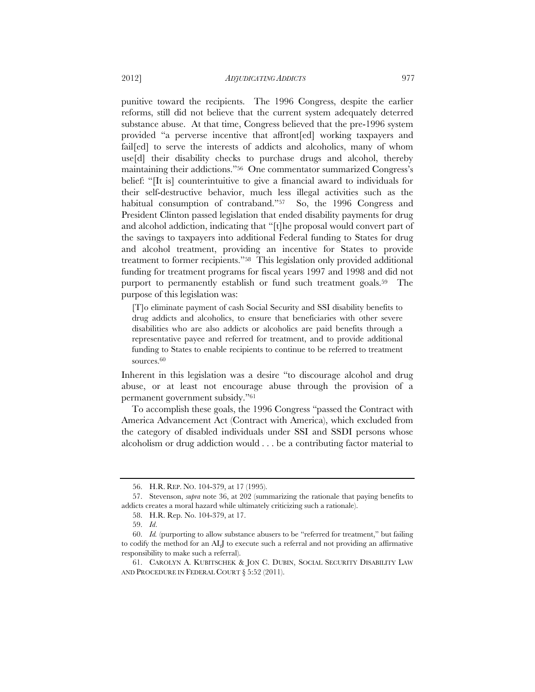punitive toward the recipients. The 1996 Congress, despite the earlier reforms, still did not believe that the current system adequately deterred substance abuse. At that time, Congress believed that the pre-1996 system provided "a perverse incentive that affront[ed] working taxpayers and fail<sup>[ed]</sup> to serve the interests of addicts and alcoholics, many of whom use[d] their disability checks to purchase drugs and alcohol, thereby maintaining their addictions."56 One commentator summarized Congress's belief: "[It is] counterintuitive to give a financial award to individuals for their self-destructive behavior, much less illegal activities such as the habitual consumption of contraband."<sup>57</sup> So, the 1996 Congress and President Clinton passed legislation that ended disability payments for drug and alcohol addiction, indicating that "[t]he proposal would convert part of the savings to taxpayers into additional Federal funding to States for drug and alcohol treatment, providing an incentive for States to provide treatment to former recipients."58 This legislation only provided additional funding for treatment programs for fiscal years 1997 and 1998 and did not purport to permanently establish or fund such treatment goals.<sup>59</sup> The purpose of this legislation was:

[T]o eliminate payment of cash Social Security and SSI disability benefits to drug addicts and alcoholics, to ensure that beneficiaries with other severe disabilities who are also addicts or alcoholics are paid benefits through a representative payee and referred for treatment, and to provide additional funding to States to enable recipients to continue to be referred to treatment sources.<sup>60</sup>

Inherent in this legislation was a desire "to discourage alcohol and drug abuse, or at least not encourage abuse through the provision of a permanent government subsidy."61

To accomplish these goals, the 1996 Congress "passed the Contract with America Advancement Act (Contract with America), which excluded from the category of disabled individuals under SSI and SSDI persons whose alcoholism or drug addiction would . . . be a contributing factor material to

 <sup>56.</sup> H.R. REP. NO. 104-379, at 17 (1995).

 <sup>57.</sup> Stevenson, *supra* note 36, at 202 (summarizing the rationale that paying benefits to addicts creates a moral hazard while ultimately criticizing such a rationale).

 <sup>58.</sup> H.R. Rep. No. 104-379, at 17.

 <sup>59.</sup> *Id*.

 <sup>60.</sup> *Id.* (purporting to allow substance abusers to be "referred for treatment," but failing to codify the method for an ALJ to execute such a referral and not providing an affirmative responsibility to make such a referral).

 <sup>61.</sup> CAROLYN A. KUBITSCHEK & JON C. DUBIN, SOCIAL SECURITY DISABILITY LAW AND PROCEDURE IN FEDERAL COURT § 5:52 (2011).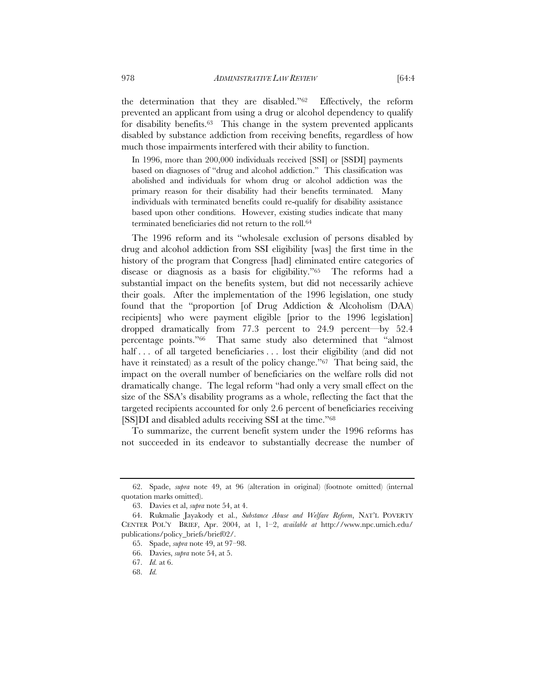the determination that they are disabled."62 Effectively, the reform prevented an applicant from using a drug or alcohol dependency to qualify for disability benefits.63 This change in the system prevented applicants disabled by substance addiction from receiving benefits, regardless of how much those impairments interfered with their ability to function.

In 1996, more than 200,000 individuals received [SSI] or [SSDI] payments based on diagnoses of "drug and alcohol addiction." This classification was abolished and individuals for whom drug or alcohol addiction was the primary reason for their disability had their benefits terminated. Many individuals with terminated benefits could re-qualify for disability assistance based upon other conditions. However, existing studies indicate that many terminated beneficiaries did not return to the roll.64

The 1996 reform and its "wholesale exclusion of persons disabled by drug and alcohol addiction from SSI eligibility [was] the first time in the history of the program that Congress [had] eliminated entire categories of disease or diagnosis as a basis for eligibility."65 The reforms had a substantial impact on the benefits system, but did not necessarily achieve their goals. After the implementation of the 1996 legislation, one study found that the "proportion [of Drug Addiction & Alcoholism (DAA) recipients] who were payment eligible [prior to the 1996 legislation] dropped dramatically from 77.3 percent to 24.9 percent—by 52.4 percentage points."66 That same study also determined that "almost half ... of all targeted beneficiaries ... lost their eligibility (and did not have it reinstated) as a result of the policy change."<sup>67</sup> That being said, the impact on the overall number of beneficiaries on the welfare rolls did not dramatically change. The legal reform "had only a very small effect on the size of the SSA's disability programs as a whole, reflecting the fact that the targeted recipients accounted for only 2.6 percent of beneficiaries receiving [SS]DI and disabled adults receiving SSI at the time."68

To summarize, the current benefit system under the 1996 reforms has not succeeded in its endeavor to substantially decrease the number of

 <sup>62.</sup> Spade, *supra* note 49, at 96 (alteration in original) (footnote omitted) (internal quotation marks omitted).

 <sup>63.</sup> Davies et al, *supra* note 54, at 4.

 <sup>64.</sup> Rukmalie Jayakody et al., *Substance Abuse and Welfare Reform*, NAT'L POVERTY CENTER POL'Y BRIEF, Apr. 2004, at 1, 1–2, *available at* http://www.npc.umich.edu/ publications/policy\_briefs/brief02/.

 <sup>65.</sup> Spade, *supra* note 49, at 97–98.

 <sup>66.</sup> Davies, *supra* note 54, at 5.

 <sup>67.</sup> *Id.* at 6.

 <sup>68.</sup> *Id.*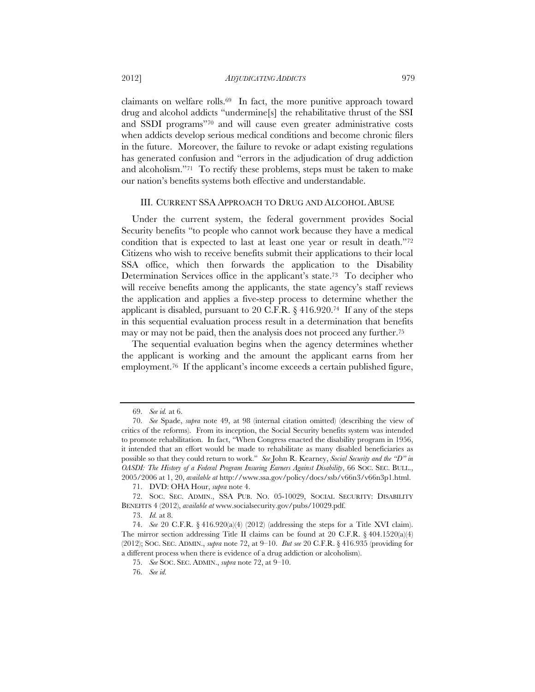claimants on welfare rolls.69 In fact, the more punitive approach toward drug and alcohol addicts "undermine[s] the rehabilitative thrust of the SSI and SSDI programs"70 and will cause even greater administrative costs when addicts develop serious medical conditions and become chronic filers in the future. Moreover, the failure to revoke or adapt existing regulations has generated confusion and "errors in the adjudication of drug addiction and alcoholism."71 To rectify these problems, steps must be taken to make our nation's benefits systems both effective and understandable.

#### III. CURRENT SSA APPROACH TO DRUG AND ALCOHOL ABUSE

Under the current system, the federal government provides Social Security benefits "to people who cannot work because they have a medical condition that is expected to last at least one year or result in death."72 Citizens who wish to receive benefits submit their applications to their local SSA office, which then forwards the application to the Disability Determination Services office in the applicant's state.73 To decipher who will receive benefits among the applicants, the state agency's staff reviews the application and applies a five-step process to determine whether the applicant is disabled, pursuant to 20 C.F.R.  $\S$  416.920.<sup>74</sup> If any of the steps in this sequential evaluation process result in a determination that benefits may or may not be paid, then the analysis does not proceed any further.75

The sequential evaluation begins when the agency determines whether the applicant is working and the amount the applicant earns from her employment.76 If the applicant's income exceeds a certain published figure,

 <sup>69.</sup> *See id.* at 6.

 <sup>70.</sup> *See* Spade, *supra* note 49, at 98 (internal citation omitted) (describing the view of critics of the reforms). From its inception, the Social Security benefits system was intended to promote rehabilitation. In fact, "When Congress enacted the disability program in 1956, it intended that an effort would be made to rehabilitate as many disabled beneficiaries as possible so that they could return to work." *See* John R. Kearney, *Social Security and the "D" in OASDI: The History of a Federal Program Insuring Earners Against Disability*, 66 SOC. SEC. BULL., 2005/2006 at 1, 20, *available at* http://www.ssa.gov/policy/docs/ssb/v66n3/v66n3p1.html.

 <sup>71.</sup> DVD: OHA Hour, *supra* note 4.

 <sup>72.</sup> SOC. SEC. ADMIN., SSA PUB. NO. 05-10029, SOCIAL SECURITY: DISABILITY BENEFITS 4 (2012), *available at* www.socialsecurity.gov/pubs/10029.pdf.

 <sup>73.</sup> *Id.* at 8.

 <sup>74.</sup> *See* 20 C.F.R. § 416.920(a)(4) (2012) (addressing the steps for a Title XVI claim). The mirror section addressing Title II claims can be found at 20 C.F.R.  $\S 404.1520(a/4)$ (2012); SOC. SEC. ADMIN., *supra* note 72, at 9–10. *But see* 20 C.F.R. § 416.935 (providing for a different process when there is evidence of a drug addiction or alcoholism).

 <sup>75.</sup> *See* SOC. SEC. ADMIN., *supra* note 72, at 9–10.

 <sup>76.</sup> *See id.*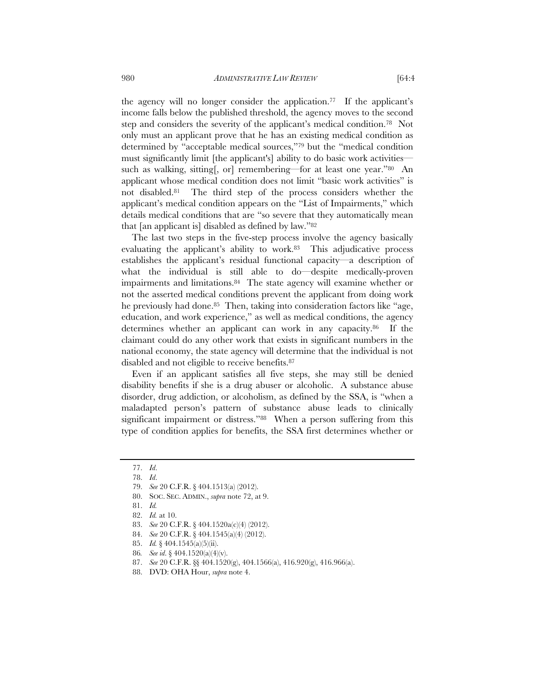the agency will no longer consider the application.77 If the applicant's income falls below the published threshold, the agency moves to the second step and considers the severity of the applicant's medical condition.78 Not only must an applicant prove that he has an existing medical condition as determined by "acceptable medical sources,"79 but the "medical condition must significantly limit [the applicant's] ability to do basic work activities such as walking, sitting[, or] remembering—for at least one year."80 An applicant whose medical condition does not limit "basic work activities" is not disabled.81 The third step of the process considers whether the applicant's medical condition appears on the "List of Impairments," which details medical conditions that are "so severe that they automatically mean that [an applicant is] disabled as defined by law."82

The last two steps in the five-step process involve the agency basically evaluating the applicant's ability to work.<sup>83</sup> This adjudicative process establishes the applicant's residual functional capacity—a description of what the individual is still able to do—despite medically-proven impairments and limitations.84 The state agency will examine whether or not the asserted medical conditions prevent the applicant from doing work he previously had done.<sup>85</sup> Then, taking into consideration factors like "age, education, and work experience," as well as medical conditions, the agency determines whether an applicant can work in any capacity.86 If the claimant could do any other work that exists in significant numbers in the national economy, the state agency will determine that the individual is not disabled and not eligible to receive benefits.87

Even if an applicant satisfies all five steps, she may still be denied disability benefits if she is a drug abuser or alcoholic. A substance abuse disorder, drug addiction, or alcoholism, as defined by the SSA, is "when a maladapted person's pattern of substance abuse leads to clinically significant impairment or distress."88 When a person suffering from this type of condition applies for benefits, the SSA first determines whether or

87. *See* 20 C.F.R. §§ 404.1520(g), 404.1566(a), 416.920(g), 416.966(a).

 <sup>77.</sup> *Id*.

 <sup>78.</sup> *Id*.

 <sup>79.</sup> *See* 20 C.F.R. § 404.1513(a) (2012).

 <sup>80.</sup> SOC. SEC. ADMIN., *supra* note 72, at 9.

 <sup>81.</sup> *Id.*

 <sup>82.</sup> *Id.* at 10.

 <sup>83.</sup> *See* 20 C.F.R. § 404.1520a(c)(4) (2012).

 <sup>84.</sup> *See* 20 C.F.R. § 404.1545(a)(4) (2012).

 <sup>85.</sup> *Id.* § 404.1545(a)(5)(ii).

<sup>86</sup>*. See id*. § 404.1520(a)(4)(v).

 <sup>88.</sup> DVD: OHA Hour, *supra* note 4.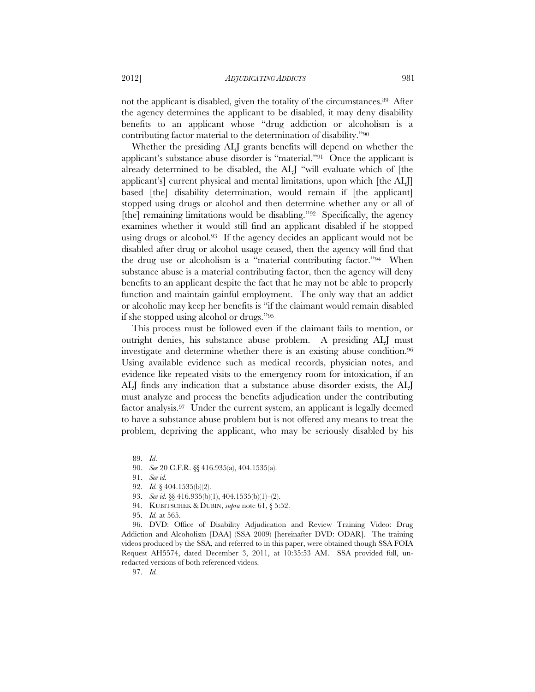not the applicant is disabled, given the totality of the circumstances.89 After the agency determines the applicant to be disabled, it may deny disability benefits to an applicant whose "drug addiction or alcoholism is a contributing factor material to the determination of disability."90

Whether the presiding ALJ grants benefits will depend on whether the applicant's substance abuse disorder is "material."91 Once the applicant is already determined to be disabled, the ALJ "will evaluate which of [the applicant's] current physical and mental limitations, upon which [the ALJ] based [the] disability determination, would remain if [the applicant] stopped using drugs or alcohol and then determine whether any or all of [the] remaining limitations would be disabling."<sup>92</sup> Specifically, the agency examines whether it would still find an applicant disabled if he stopped using drugs or alcohol.93 If the agency decides an applicant would not be disabled after drug or alcohol usage ceased, then the agency will find that the drug use or alcoholism is a "material contributing factor."94 When substance abuse is a material contributing factor, then the agency will deny benefits to an applicant despite the fact that he may not be able to properly function and maintain gainful employment. The only way that an addict or alcoholic may keep her benefits is "if the claimant would remain disabled if she stopped using alcohol or drugs."95

This process must be followed even if the claimant fails to mention, or outright denies, his substance abuse problem. A presiding ALJ must investigate and determine whether there is an existing abuse condition.96 Using available evidence such as medical records, physician notes, and evidence like repeated visits to the emergency room for intoxication, if an ALJ finds any indication that a substance abuse disorder exists, the ALJ must analyze and process the benefits adjudication under the contributing factor analysis.97 Under the current system, an applicant is legally deemed to have a substance abuse problem but is not offered any means to treat the problem, depriving the applicant, who may be seriously disabled by his

94. KUBITSCHEK & DUBIN, *supra* note 61, § 5:52.

97. *Id.*

 <sup>89.</sup> *Id*.

 <sup>90.</sup> *See* 20 C.F.R. §§ 416.935(a), 404.1535(a).

 <sup>91.</sup> *See id.* 

 <sup>92.</sup> *Id.* § 404.1535(b)(2).

 <sup>93.</sup> *See id.* §§ 416.935(b)(1), 404.1535(b)(1)–(2).

 <sup>95.</sup> *Id.* at 565.

 <sup>96.</sup> DVD: Office of Disability Adjudication and Review Training Video: Drug Addiction and Alcoholism [DAA] (SSA 2009) [hereinafter DVD: ODAR]. The training videos produced by the SSA, and referred to in this paper, were obtained though SSA FOIA Request AH5574, dated December 3, 2011, at 10:35:53 AM. SSA provided full, unredacted versions of both referenced videos.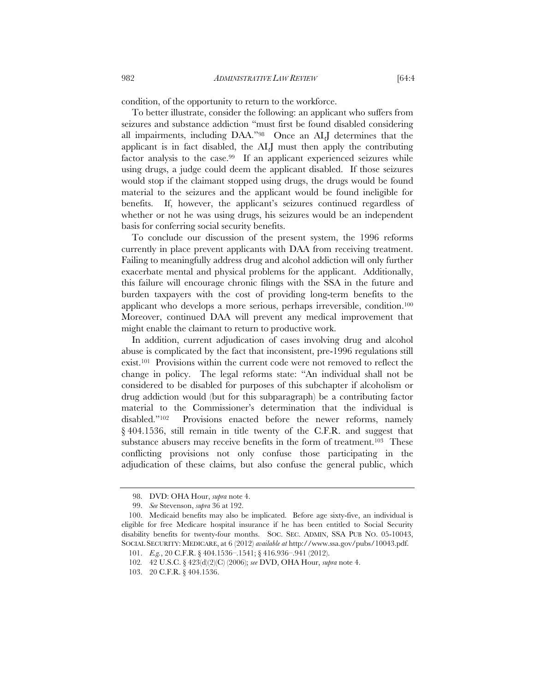condition, of the opportunity to return to the workforce.

To better illustrate, consider the following: an applicant who suffers from seizures and substance addiction "must first be found disabled considering all impairments, including DAA."98 Once an ALJ determines that the applicant is in fact disabled, the ALJ must then apply the contributing factor analysis to the case.99 If an applicant experienced seizures while using drugs, a judge could deem the applicant disabled. If those seizures would stop if the claimant stopped using drugs, the drugs would be found material to the seizures and the applicant would be found ineligible for benefits. If, however, the applicant's seizures continued regardless of whether or not he was using drugs, his seizures would be an independent basis for conferring social security benefits.

To conclude our discussion of the present system, the 1996 reforms currently in place prevent applicants with DAA from receiving treatment. Failing to meaningfully address drug and alcohol addiction will only further exacerbate mental and physical problems for the applicant. Additionally, this failure will encourage chronic filings with the SSA in the future and burden taxpayers with the cost of providing long-term benefits to the applicant who develops a more serious, perhaps irreversible, condition.100 Moreover, continued DAA will prevent any medical improvement that might enable the claimant to return to productive work.

In addition, current adjudication of cases involving drug and alcohol abuse is complicated by the fact that inconsistent, pre-1996 regulations still exist.101 Provisions within the current code were not removed to reflect the change in policy. The legal reforms state: "An individual shall not be considered to be disabled for purposes of this subchapter if alcoholism or drug addiction would (but for this subparagraph) be a contributing factor material to the Commissioner's determination that the individual is disabled."102 Provisions enacted before the newer reforms, namely § 404.1536, still remain in title twenty of the C.F.R. and suggest that substance abusers may receive benefits in the form of treatment.<sup>103</sup> These conflicting provisions not only confuse those participating in the adjudication of these claims, but also confuse the general public, which

 <sup>98.</sup> DVD: OHA Hour, *supra* note 4.

 <sup>99.</sup> *See* Stevenson, *supra* 36 at 192.

 <sup>100.</sup> Medicaid benefits may also be implicated. Before age sixty-five, an individual is eligible for free Medicare hospital insurance if he has been entitled to Social Security disability benefits for twenty-four months. SOC. SEC. ADMIN, SSA PUB NO. 05-10043, SOCIAL SECURITY: MEDICARE, at 6 (2012) *available at* http://www.ssa.gov/pubs/10043.pdf.

 <sup>101.</sup> *E.g.*, 20 C.F.R. § 404.1536–.1541; § 416.936–.941 (2012).

<sup>102</sup>*.* 42 U.S.C. § 423(d)(2)(C) (2006); *see* DVD, OHA Hour, *supra* note 4.

 <sup>103. 20</sup> C.F.R. § 404.1536.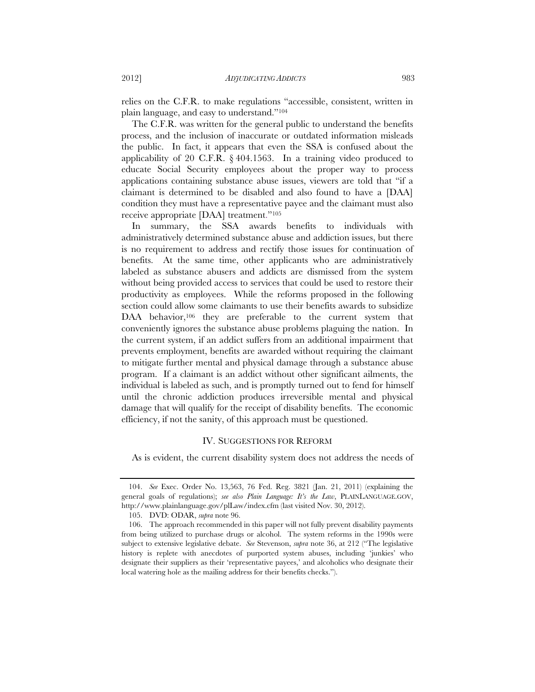relies on the C.F.R. to make regulations "accessible, consistent, written in plain language, and easy to understand."104

The C.F.R. was written for the general public to understand the benefits process, and the inclusion of inaccurate or outdated information misleads the public. In fact, it appears that even the SSA is confused about the applicability of 20 C.F.R. § 404.1563. In a training video produced to educate Social Security employees about the proper way to process applications containing substance abuse issues, viewers are told that "if a claimant is determined to be disabled and also found to have a [DAA] condition they must have a representative payee and the claimant must also receive appropriate [DAA] treatment."105

In summary, the SSA awards benefits to individuals with administratively determined substance abuse and addiction issues, but there is no requirement to address and rectify those issues for continuation of benefits. At the same time, other applicants who are administratively labeled as substance abusers and addicts are dismissed from the system without being provided access to services that could be used to restore their productivity as employees. While the reforms proposed in the following section could allow some claimants to use their benefits awards to subsidize DAA behavior,<sup>106</sup> they are preferable to the current system that conveniently ignores the substance abuse problems plaguing the nation. In the current system, if an addict suffers from an additional impairment that prevents employment, benefits are awarded without requiring the claimant to mitigate further mental and physical damage through a substance abuse program. If a claimant is an addict without other significant ailments, the individual is labeled as such, and is promptly turned out to fend for himself until the chronic addiction produces irreversible mental and physical damage that will qualify for the receipt of disability benefits. The economic efficiency, if not the sanity, of this approach must be questioned.

# IV. SUGGESTIONS FOR REFORM

As is evident, the current disability system does not address the needs of

 <sup>104.</sup> *See* Exec. Order No. 13,563, 76 Fed. Reg. 3821 (Jan. 21, 2011) (explaining the general goals of regulations); *see also Plain Language: It's the Law*, PLAINLANGUAGE.GOV, http://www.plainlanguage.gov/plLaw/index.cfm (last visited Nov. 30, 2012).

 <sup>105.</sup> DVD: ODAR, *supra* note 96.

 <sup>106.</sup> The approach recommended in this paper will not fully prevent disability payments from being utilized to purchase drugs or alcohol. The system reforms in the 1990s were subject to extensive legislative debate. *See* Stevenson, *supra* note 36, at 212 ("The legislative history is replete with anecdotes of purported system abuses, including 'junkies' who designate their suppliers as their 'representative payees,' and alcoholics who designate their local watering hole as the mailing address for their benefits checks.").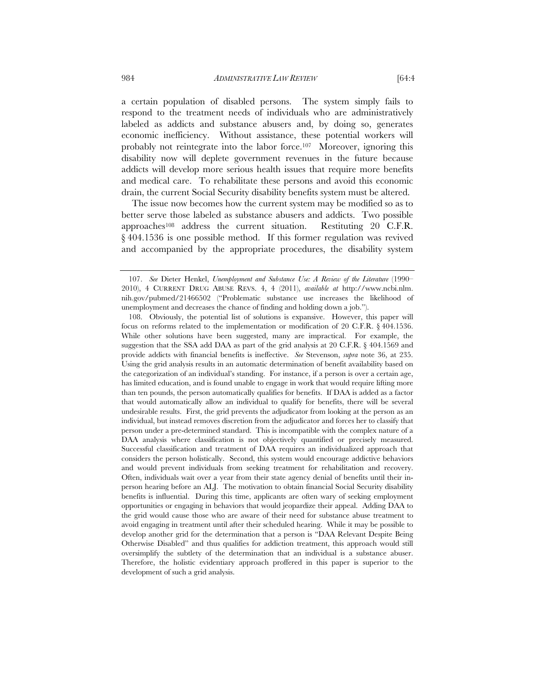respond to the treatment needs of individuals who are administratively labeled as addicts and substance abusers and, by doing so, generates economic inefficiency. Without assistance, these potential workers will probably not reintegrate into the labor force.107 Moreover, ignoring this disability now will deplete government revenues in the future because addicts will develop more serious health issues that require more benefits and medical care. To rehabilitate these persons and avoid this economic drain, the current Social Security disability benefits system must be altered.

The issue now becomes how the current system may be modified so as to better serve those labeled as substance abusers and addicts. Two possible approaches<sup>108</sup> address the current situation. Restituting 20 C.F.R. § 404.1536 is one possible method. If this former regulation was revived and accompanied by the appropriate procedures, the disability system

 <sup>107.</sup> *See* Dieter Henkel, *Unemployment and Substance Use: A Review of the Literature* (1990– 2010), 4 CURRENT DRUG ABUSE REVS. 4, 4 (2011), *available at* http://www.ncbi.nlm. nih.gov/pubmed/21466502 ("Problematic substance use increases the likelihood of unemployment and decreases the chance of finding and holding down a job.").

 <sup>108.</sup> Obviously, the potential list of solutions is expansive. However, this paper will focus on reforms related to the implementation or modification of 20 C.F.R. § 404.1536. While other solutions have been suggested, many are impractical. For example, the suggestion that the SSA add DAA as part of the grid analysis at 20 C.F.R. § 404.1569 and provide addicts with financial benefits is ineffective. *See* Stevenson, *supra* note 36, at 235. Using the grid analysis results in an automatic determination of benefit availability based on the categorization of an individual's standing. For instance, if a person is over a certain age, has limited education, and is found unable to engage in work that would require lifting more than ten pounds, the person automatically qualifies for benefits. If DAA is added as a factor that would automatically allow an individual to qualify for benefits, there will be several undesirable results. First, the grid prevents the adjudicator from looking at the person as an individual, but instead removes discretion from the adjudicator and forces her to classify that person under a pre-determined standard. This is incompatible with the complex nature of a DAA analysis where classification is not objectively quantified or precisely measured. Successful classification and treatment of DAA requires an individualized approach that considers the person holistically. Second, this system would encourage addictive behaviors and would prevent individuals from seeking treatment for rehabilitation and recovery. Often, individuals wait over a year from their state agency denial of benefits until their inperson hearing before an ALJ. The motivation to obtain financial Social Security disability benefits is influential. During this time, applicants are often wary of seeking employment opportunities or engaging in behaviors that would jeopardize their appeal. Adding DAA to the grid would cause those who are aware of their need for substance abuse treatment to avoid engaging in treatment until after their scheduled hearing. While it may be possible to develop another grid for the determination that a person is "DAA Relevant Despite Being Otherwise Disabled" and thus qualifies for addiction treatment, this approach would still oversimplify the subtlety of the determination that an individual is a substance abuser. Therefore, the holistic evidentiary approach proffered in this paper is superior to the development of such a grid analysis.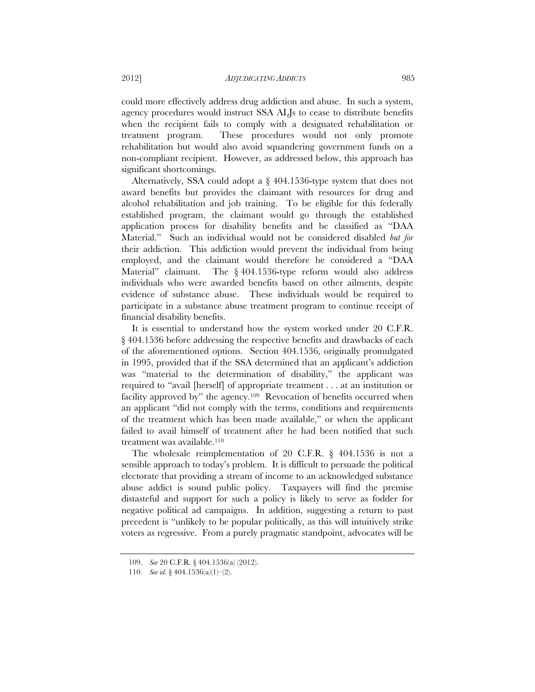could more effectively address drug addiction and abuse. In such a system, agency procedures would instruct SSA ALJs to cease to distribute benefits when the recipient fails to comply with a designated rehabilitation or treatment program. These procedures would not only promote rehabilitation but would also avoid squandering government funds on a non-compliant recipient. However, as addressed below, this approach has significant shortcomings.

Alternatively, SSA could adopt a § 404.1536-type system that does not award benefits but provides the claimant with resources for drug and alcohol rehabilitation and job training. To be eligible for this federally established program, the claimant would go through the established application process for disability benefits and be classified as "DAA Material." Such an individual would not be considered disabled *but for* their addiction. This addiction would prevent the individual from being employed, and the claimant would therefore be considered a "DAA Material" claimant. The § 404.1536-type reform would also address individuals who were awarded benefits based on other ailments, despite evidence of substance abuse. These individuals would be required to participate in a substance abuse treatment program to continue receipt of financial disability benefits.

It is essential to understand how the system worked under 20 C.F.R. § 404.1536 before addressing the respective benefits and drawbacks of each of the aforementioned options. Section 404.1536, originally promulgated in 1995, provided that if the SSA determined that an applicant's addiction was "material to the determination of disability," the applicant was required to "avail [herself] of appropriate treatment . . . at an institution or facility approved by" the agency.<sup>109</sup> Revocation of benefits occurred when an applicant "did not comply with the terms, conditions and requirements of the treatment which has been made available," or when the applicant failed to avail himself of treatment after he had been notified that such treatment was available.110

The wholesale reimplementation of 20 C.F.R. § 404.1536 is not a sensible approach to today's problem. It is difficult to persuade the political electorate that providing a stream of income to an acknowledged substance abuse addict is sound public policy. Taxpayers will find the premise distasteful and support for such a policy is likely to serve as fodder for negative political ad campaigns. In addition, suggesting a return to past precedent is "unlikely to be popular politically, as this will intuitively strike voters as regressive. From a purely pragmatic standpoint, advocates will be

 <sup>109.</sup> *See* 20 C.F.R. § 404.1536(a) (2012).

 <sup>110.</sup> *See id.* § 404.1536(a)(1)–(2).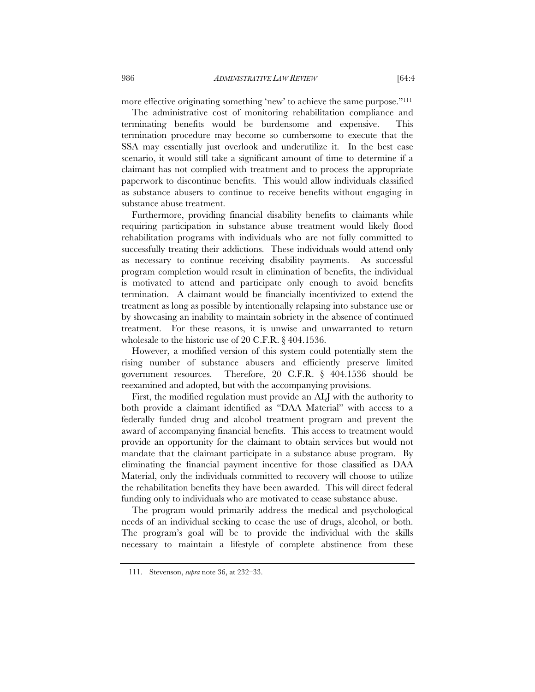more effective originating something 'new' to achieve the same purpose."<sup>111</sup>

The administrative cost of monitoring rehabilitation compliance and terminating benefits would be burdensome and expensive. This termination procedure may become so cumbersome to execute that the SSA may essentially just overlook and underutilize it. In the best case scenario, it would still take a significant amount of time to determine if a claimant has not complied with treatment and to process the appropriate paperwork to discontinue benefits. This would allow individuals classified as substance abusers to continue to receive benefits without engaging in substance abuse treatment.

Furthermore, providing financial disability benefits to claimants while requiring participation in substance abuse treatment would likely flood rehabilitation programs with individuals who are not fully committed to successfully treating their addictions. These individuals would attend only as necessary to continue receiving disability payments. As successful program completion would result in elimination of benefits, the individual is motivated to attend and participate only enough to avoid benefits termination. A claimant would be financially incentivized to extend the treatment as long as possible by intentionally relapsing into substance use or by showcasing an inability to maintain sobriety in the absence of continued treatment. For these reasons, it is unwise and unwarranted to return wholesale to the historic use of 20 C.F.R. § 404.1536.

However, a modified version of this system could potentially stem the rising number of substance abusers and efficiently preserve limited government resources. Therefore, 20 C.F.R. § 404.1536 should be reexamined and adopted, but with the accompanying provisions.

First, the modified regulation must provide an ALJ with the authority to both provide a claimant identified as "DAA Material" with access to a federally funded drug and alcohol treatment program and prevent the award of accompanying financial benefits. This access to treatment would provide an opportunity for the claimant to obtain services but would not mandate that the claimant participate in a substance abuse program. By eliminating the financial payment incentive for those classified as DAA Material, only the individuals committed to recovery will choose to utilize the rehabilitation benefits they have been awarded. This will direct federal funding only to individuals who are motivated to cease substance abuse.

The program would primarily address the medical and psychological needs of an individual seeking to cease the use of drugs, alcohol, or both. The program's goal will be to provide the individual with the skills necessary to maintain a lifestyle of complete abstinence from these

 <sup>111.</sup> Stevenson, *supra* note 36, at 232–33.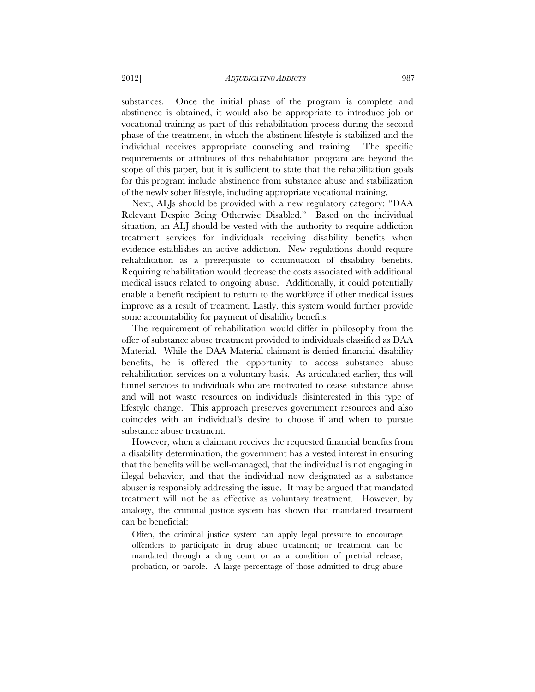substances. Once the initial phase of the program is complete and abstinence is obtained, it would also be appropriate to introduce job or vocational training as part of this rehabilitation process during the second phase of the treatment, in which the abstinent lifestyle is stabilized and the individual receives appropriate counseling and training. The specific requirements or attributes of this rehabilitation program are beyond the scope of this paper, but it is sufficient to state that the rehabilitation goals for this program include abstinence from substance abuse and stabilization of the newly sober lifestyle, including appropriate vocational training.

Next, ALJs should be provided with a new regulatory category: "DAA Relevant Despite Being Otherwise Disabled." Based on the individual situation, an ALJ should be vested with the authority to require addiction treatment services for individuals receiving disability benefits when evidence establishes an active addiction. New regulations should require rehabilitation as a prerequisite to continuation of disability benefits. Requiring rehabilitation would decrease the costs associated with additional medical issues related to ongoing abuse. Additionally, it could potentially enable a benefit recipient to return to the workforce if other medical issues improve as a result of treatment. Lastly, this system would further provide some accountability for payment of disability benefits.

The requirement of rehabilitation would differ in philosophy from the offer of substance abuse treatment provided to individuals classified as DAA Material. While the DAA Material claimant is denied financial disability benefits, he is offered the opportunity to access substance abuse rehabilitation services on a voluntary basis. As articulated earlier, this will funnel services to individuals who are motivated to cease substance abuse and will not waste resources on individuals disinterested in this type of lifestyle change. This approach preserves government resources and also coincides with an individual's desire to choose if and when to pursue substance abuse treatment.

However, when a claimant receives the requested financial benefits from a disability determination, the government has a vested interest in ensuring that the benefits will be well-managed, that the individual is not engaging in illegal behavior, and that the individual now designated as a substance abuser is responsibly addressing the issue. It may be argued that mandated treatment will not be as effective as voluntary treatment. However, by analogy, the criminal justice system has shown that mandated treatment can be beneficial:

Often, the criminal justice system can apply legal pressure to encourage offenders to participate in drug abuse treatment; or treatment can be mandated through a drug court or as a condition of pretrial release, probation, or parole. A large percentage of those admitted to drug abuse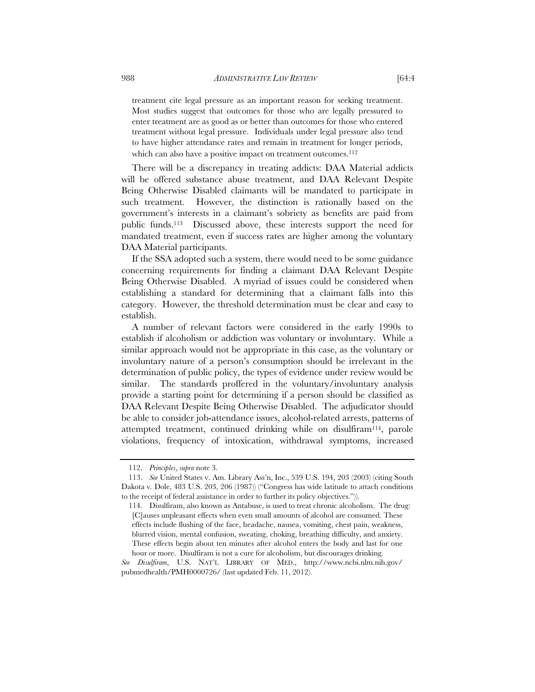treatment cite legal pressure as an important reason for seeking treatment. Most studies suggest that outcomes for those who are legally pressured to enter treatment are as good as or better than outcomes for those who entered treatment without legal pressure. Individuals under legal pressure also tend to have higher attendance rates and remain in treatment for longer periods, which can also have a positive impact on treatment outcomes.<sup>112</sup>

There will be a discrepancy in treating addicts: DAA Material addicts will be offered substance abuse treatment, and DAA Relevant Despite Being Otherwise Disabled claimants will be mandated to participate in such treatment. However, the distinction is rationally based on the government's interests in a claimant's sobriety as benefits are paid from public funds.113 Discussed above, these interests support the need for mandated treatment, even if success rates are higher among the voluntary DAA Material participants.

If the SSA adopted such a system, there would need to be some guidance concerning requirements for finding a claimant DAA Relevant Despite Being Otherwise Disabled. A myriad of issues could be considered when establishing a standard for determining that a claimant falls into this category. However, the threshold determination must be clear and easy to establish.

A number of relevant factors were considered in the early 1990s to establish if alcoholism or addiction was voluntary or involuntary. While a similar approach would not be appropriate in this case, as the voluntary or involuntary nature of a person's consumption should be irrelevant in the determination of public policy, the types of evidence under review would be similar. The standards proffered in the voluntary/involuntary analysis provide a starting point for determining if a person should be classified as DAA Relevant Despite Being Otherwise Disabled. The adjudicator should be able to consider job-attendance issues, alcohol-related arrests, patterns of attempted treatment, continued drinking while on disulfiram114, parole violations, frequency of intoxication, withdrawal symptoms, increased

 <sup>112.</sup> *Principles*, *supra* note 3.

<sup>113.</sup> *See* United States v. Am. Library Ass'n, Inc., 539 U.S. 194, 203 (2003) (citing South Dakota v*.* Dole, 483 U.S. 203, 206 (1987)) ("Congress has wide latitude to attach conditions to the receipt of federal assistance in order to further its policy objectives.")).

 <sup>114.</sup> Disulfiram, also known as Antabuse, is used to treat chronic alcoholism. The drug: [C]auses unpleasant effects when even small amounts of alcohol are consumed. These effects include flushing of the face, headache, nausea, vomiting, chest pain, weakness, blurred vision, mental confusion, sweating, choking, breathing difficulty, and anxiety. These effects begin about ten minutes after alcohol enters the body and last for one hour or more. Disulfiram is not a cure for alcoholism, but discourages drinking.

*See Disulfiram*, U.S. NAT'L LIBRARY OF MED., http://www.ncbi.nlm.nih.gov/ pubmedhealth/PMH0000726/ (last updated Feb. 11, 2012).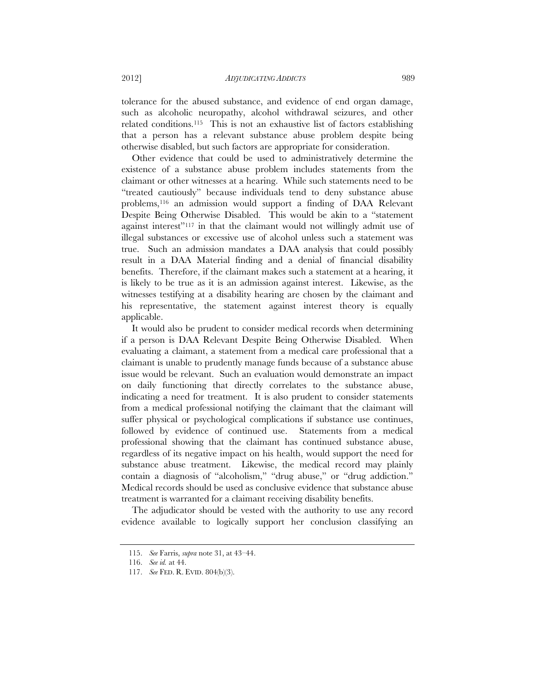tolerance for the abused substance, and evidence of end organ damage, such as alcoholic neuropathy, alcohol withdrawal seizures, and other related conditions.115 This is not an exhaustive list of factors establishing that a person has a relevant substance abuse problem despite being otherwise disabled, but such factors are appropriate for consideration.

Other evidence that could be used to administratively determine the existence of a substance abuse problem includes statements from the claimant or other witnesses at a hearing. While such statements need to be "treated cautiously" because individuals tend to deny substance abuse problems,116 an admission would support a finding of DAA Relevant Despite Being Otherwise Disabled. This would be akin to a "statement against interest"117 in that the claimant would not willingly admit use of illegal substances or excessive use of alcohol unless such a statement was true. Such an admission mandates a DAA analysis that could possibly result in a DAA Material finding and a denial of financial disability benefits. Therefore, if the claimant makes such a statement at a hearing, it is likely to be true as it is an admission against interest. Likewise, as the witnesses testifying at a disability hearing are chosen by the claimant and his representative, the statement against interest theory is equally applicable.

It would also be prudent to consider medical records when determining if a person is DAA Relevant Despite Being Otherwise Disabled. When evaluating a claimant, a statement from a medical care professional that a claimant is unable to prudently manage funds because of a substance abuse issue would be relevant. Such an evaluation would demonstrate an impact on daily functioning that directly correlates to the substance abuse, indicating a need for treatment. It is also prudent to consider statements from a medical professional notifying the claimant that the claimant will suffer physical or psychological complications if substance use continues, followed by evidence of continued use. Statements from a medical professional showing that the claimant has continued substance abuse, regardless of its negative impact on his health, would support the need for substance abuse treatment. Likewise, the medical record may plainly contain a diagnosis of "alcoholism," "drug abuse," or "drug addiction." Medical records should be used as conclusive evidence that substance abuse treatment is warranted for a claimant receiving disability benefits.

The adjudicator should be vested with the authority to use any record evidence available to logically support her conclusion classifying an

 <sup>115.</sup> *See* Farris, *supra* note 31, at 43–44.

 <sup>116.</sup> *See id.* at 44.

 <sup>117.</sup> *See* FED. R. EVID. 804(b)(3).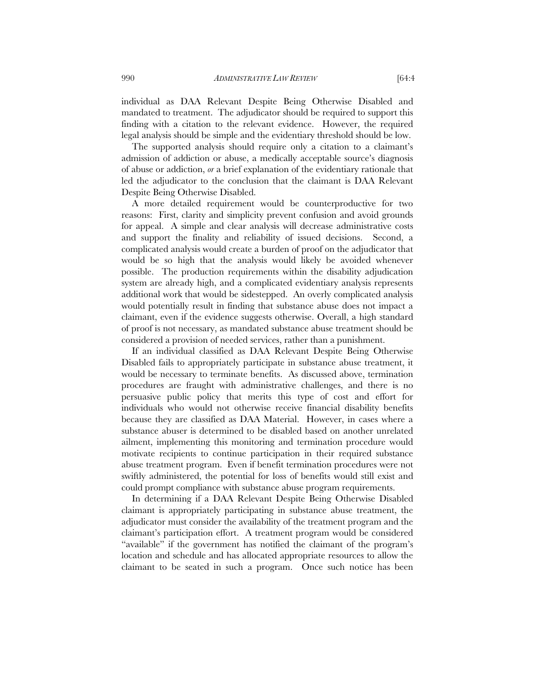individual as DAA Relevant Despite Being Otherwise Disabled and mandated to treatment. The adjudicator should be required to support this finding with a citation to the relevant evidence. However, the required legal analysis should be simple and the evidentiary threshold should be low.

The supported analysis should require only a citation to a claimant's admission of addiction or abuse, a medically acceptable source's diagnosis of abuse or addiction, *or* a brief explanation of the evidentiary rationale that led the adjudicator to the conclusion that the claimant is DAA Relevant Despite Being Otherwise Disabled.

A more detailed requirement would be counterproductive for two reasons: First, clarity and simplicity prevent confusion and avoid grounds for appeal. A simple and clear analysis will decrease administrative costs and support the finality and reliability of issued decisions. Second, a complicated analysis would create a burden of proof on the adjudicator that would be so high that the analysis would likely be avoided whenever possible. The production requirements within the disability adjudication system are already high, and a complicated evidentiary analysis represents additional work that would be sidestepped. An overly complicated analysis would potentially result in finding that substance abuse does not impact a claimant, even if the evidence suggests otherwise. Overall, a high standard of proof is not necessary, as mandated substance abuse treatment should be considered a provision of needed services, rather than a punishment.

If an individual classified as DAA Relevant Despite Being Otherwise Disabled fails to appropriately participate in substance abuse treatment, it would be necessary to terminate benefits. As discussed above, termination procedures are fraught with administrative challenges, and there is no persuasive public policy that merits this type of cost and effort for individuals who would not otherwise receive financial disability benefits because they are classified as DAA Material. However, in cases where a substance abuser is determined to be disabled based on another unrelated ailment, implementing this monitoring and termination procedure would motivate recipients to continue participation in their required substance abuse treatment program. Even if benefit termination procedures were not swiftly administered, the potential for loss of benefits would still exist and could prompt compliance with substance abuse program requirements.

In determining if a DAA Relevant Despite Being Otherwise Disabled claimant is appropriately participating in substance abuse treatment, the adjudicator must consider the availability of the treatment program and the claimant's participation effort. A treatment program would be considered "available" if the government has notified the claimant of the program's location and schedule and has allocated appropriate resources to allow the claimant to be seated in such a program. Once such notice has been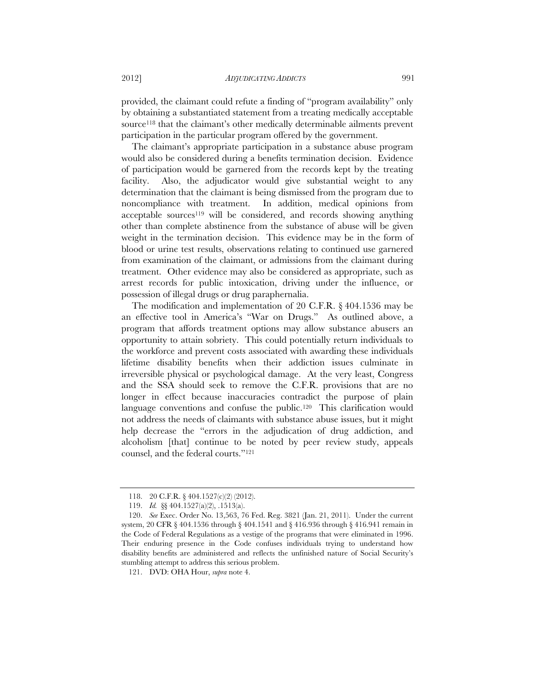provided, the claimant could refute a finding of "program availability" only by obtaining a substantiated statement from a treating medically acceptable source<sup>118</sup> that the claimant's other medically determinable ailments prevent participation in the particular program offered by the government.

The claimant's appropriate participation in a substance abuse program would also be considered during a benefits termination decision. Evidence of participation would be garnered from the records kept by the treating facility. Also, the adjudicator would give substantial weight to any determination that the claimant is being dismissed from the program due to noncompliance with treatment. In addition, medical opinions from acceptable sources<sup>119</sup> will be considered, and records showing anything other than complete abstinence from the substance of abuse will be given weight in the termination decision. This evidence may be in the form of blood or urine test results, observations relating to continued use garnered from examination of the claimant, or admissions from the claimant during treatment. Other evidence may also be considered as appropriate, such as arrest records for public intoxication, driving under the influence, or possession of illegal drugs or drug paraphernalia.

The modification and implementation of 20 C.F.R. § 404.1536 may be an effective tool in America's "War on Drugs." As outlined above, a program that affords treatment options may allow substance abusers an opportunity to attain sobriety. This could potentially return individuals to the workforce and prevent costs associated with awarding these individuals lifetime disability benefits when their addiction issues culminate in irreversible physical or psychological damage. At the very least, Congress and the SSA should seek to remove the C.F.R. provisions that are no longer in effect because inaccuracies contradict the purpose of plain language conventions and confuse the public.<sup>120</sup> This clarification would not address the needs of claimants with substance abuse issues, but it might help decrease the "errors in the adjudication of drug addiction, and alcoholism [that] continue to be noted by peer review study, appeals counsel, and the federal courts."121

 <sup>118. 20</sup> C.F.R. § 404.1527(c)(2) (2012).

 <sup>119.</sup> *Id.* §§ 404.1527(a)(2), .1513(a).

 <sup>120.</sup> *See* Exec. Order No. 13,563, 76 Fed. Reg. 3821 (Jan. 21, 2011). Under the current system, 20 CFR § 404.1536 through § 404.1541 and § 416.936 through § 416.941 remain in the Code of Federal Regulations as a vestige of the programs that were eliminated in 1996. Their enduring presence in the Code confuses individuals trying to understand how disability benefits are administered and reflects the unfinished nature of Social Security's stumbling attempt to address this serious problem.

 <sup>121.</sup> DVD: OHA Hour, *supra* note 4.